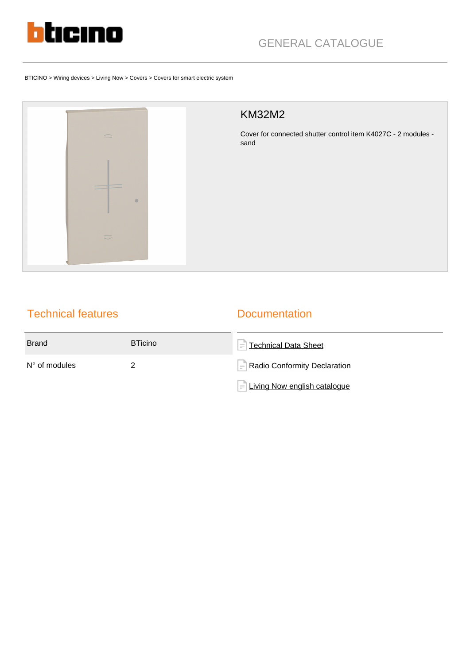

BTICINO > Wiring devices > Living Now > Covers > Covers for smart electric system



## KM32M2

Cover for connected shutter control item K4027C - 2 modules sand

# Technical features

### **Documentation**

| <b>Brand</b>           | <b>BTicino</b> | $\left =\right $ Technical Data Sheet |
|------------------------|----------------|---------------------------------------|
| $N^{\circ}$ of modules |                | Radio Conformity Declaration          |
|                        |                | $=$ Living Now english catalogue      |